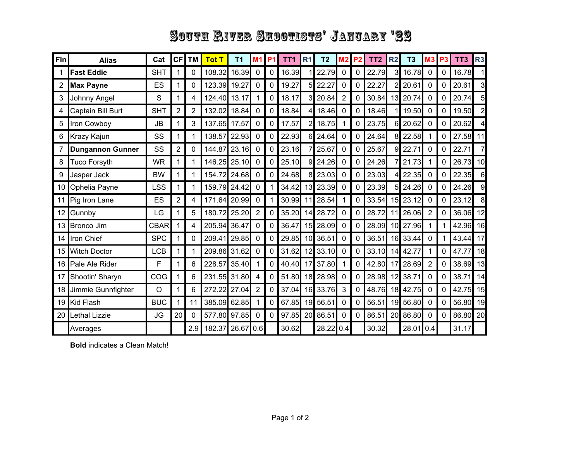## South River Shootists' January '22

| <b>Fin</b> | <b>Alias</b>            | Cat         | CF | <b>TM</b>      | <b>Tot T</b> | T <sub>1</sub> | M <sub>1</sub> | P <sub>1</sub> | TT <sub>1</sub> | <b>R1</b>       | T <sub>2</sub> | M <sub>2</sub> | P <sub>2</sub> | TT <sub>2</sub> | <b>R2</b>       | T <sub>3</sub> | <b>M3 P3</b>   |             | TT <sub>3</sub> | R <sub>3</sub> |
|------------|-------------------------|-------------|----|----------------|--------------|----------------|----------------|----------------|-----------------|-----------------|----------------|----------------|----------------|-----------------|-----------------|----------------|----------------|-------------|-----------------|----------------|
| 1          | <b>Fast Eddie</b>       | <b>SHT</b>  |    | 0              | 108.32       | 16.39          | $\mathbf 0$    | 0              | 16.39           |                 | 22.79          | $\mathbf 0$    | 0              | 22.79           | $\overline{3}$  | 16.78          | 0              | 0           | 16.78           | 1              |
| 2          | <b>Max Payne</b>        | ES          |    | 0              | 123.39       | 19.27          | 0              | 0              | 19.27           | 5               | 22.27          | 0              | 0              | 22.27           | 2               | 20.61          | 0              | 0           | 20.61           | 3              |
| 3          | Johnny Angel            | S           |    | $\overline{4}$ | 124.40 13.17 |                | 1              | 0              | 18.17           | $\overline{3}$  | 20.84          | $\overline{2}$ | 0              | 30.84           | 13              | 20.74          | $\mathbf 0$    | 0           | 20.74           | 5              |
| 4          | Captain Bill Burt       | <b>SHT</b>  | 2  | $\overline{2}$ | 132.02       | 18.84          | $\mathbf 0$    | 0              | 18.84           | 4               | 18.46          | $\mathbf 0$    | 0              | 18.46           |                 | 19.50          | $\mathbf 0$    | 0           | 19.50           | $\overline{2}$ |
| 5          | Iron Cowboy             | <b>JB</b>   |    | 3              | 137.65       | 17.57          | $\Omega$       | 0              | 17.57           | $\overline{2}$  | 18.75          | 1              | 0              | 23.75           | 6               | 20.62          | 0              | 0           | 20.62           | 4              |
| 6          | <b>Krazy Kajun</b>      | SS          |    | 1              | 138.57       | 22.93          | $\Omega$       | 0              | 22.93           | 6               | 24.64          | $\mathbf{0}$   | 0              | 24.64           | 8 <sup>1</sup>  | 22.58          | 1              | 0           | 27.58           | 11             |
| 7          | <b>Dungannon Gunner</b> | SS          | 2  | 0              | 144.87       | 23.16          | $\mathbf 0$    | 0              | 23.16           | 7               | 25.67          | $\mathbf 0$    | 0              | 25.67           | $\overline{9}$  | 22.71          | $\mathbf 0$    | 0           | 22.71           | $\overline{7}$ |
| 8          | <b>Tuco Forsyth</b>     | <b>WR</b>   |    | 1              | 146.25 25.10 |                | 0              | 0              | 25.10           | 9               | 24.26          | $\mathbf{0}$   | 0              | 24.26           |                 | 21.73          | 1              | $\mathbf 0$ | 26.73           | 10             |
| 9          | Jasper Jack             | <b>BW</b>   | 1  | 1              | 154.72       | 24.68          | $\mathbf 0$    | 0              | 24.68           | 8               | 23.03          | 0              | 0              | 23.03           |                 | 22.35          | $\pmb{0}$      | $\mathbf 0$ | 22.35           | 6              |
| 10         | Ophelia Payne           | LSS         |    | 1              | 159.79       | 24.42          | $\Omega$       |                | 34.42           | 13              | 23.39          | $\mathbf 0$    | $\Omega$       | 23.39           | 5 <sub>l</sub>  | 24.26          | $\mathbf 0$    | 0           | 24.26           | 9              |
| 11         | Pig Iron Lane           | ES          | 2  | 4              | 171.64       | 20.99          | 0              |                | 30.99           | 11              | 28.54          | 1              | 0              | 33.54           | 15              | 23.12          | 0              | 0           | 23.12           | 8              |
| 12         | Gunnby                  | LG          |    | 5              | 180.72 25.20 |                | $\overline{2}$ | 0              | 35.20           | 14              | 28.72          | $\mathbf{0}$   | 0              | 28.72           | 11              | 26.06          | 2              | 0           | 36.06           | 12             |
|            | 13 Bronco Jim           | <b>CBAR</b> |    | 4              | 205.94       | 36.47          | 0              | 0              | 36.47           | 15              | 28.09          | $\mathbf 0$    | 0              | 28.09           | 10 <sup>1</sup> | 27.96          | 1              | $\mathbf 1$ | 42.96           | 16             |
| 14         | <b>Iron Chief</b>       | <b>SPC</b>  |    | 0              | 209.41       | 29.85          | $\mathbf{0}$   | 0              | 29.85           | 10 <sup>1</sup> | 36.51          | $\mathbf{0}$   | 0              | 36.51           | 16              | 33.44          | 0              | 1           | 43.44           | 17             |
| 15         | <b>Witch Doctor</b>     | <b>LCB</b>  |    | 1              | 209.86       | 31.62          | 0              | 0              | 31.62           | 12              | 33.10          | $\mathbf 0$    | 0              | 33.10           | 14              | 42.77          | 1              | $\Omega$    | 47.77           | 18             |
|            | 16 Pale Ale Rider       | F           |    | 6              | 228.57       | 35.40          |                | 0              | 40.40           | 17              | 37.80          | 1              | 0              | 42.80           | 17              | 28.69          | $\overline{2}$ | $\mathbf 0$ | 38.69           | 13             |
| 17         | Shootin' Sharyn         | COG         |    | 6              | 231.55 31.80 |                | 4              | 0              | 51.80           |                 | 18 28.98       | $\mathbf{0}$   | 0              | 28.98           | 12              | 38.71          | 0              | 0           | 38.71           | 14             |
| 18         | Jimmie Gunnfighter      | $\circ$     |    | 6              | 272.22       | 27.04          | $\overline{2}$ | 0              | 37.04           |                 | 16 33.76       | 3              | 0              | 48.76           | 18              | 42.75          | $\mathbf 0$    | 0           | 42.75           | 15             |
| 19         | Kid Flash               | <b>BUC</b>  |    | 11             | 385.09       | 62.85          |                | 0              | 67.85           | 19              | 56.51          | 0              | 0              | 56.51           | 19              | 56.80          | 0              | 0           | 56.80           | 19             |
|            | 20 Lethal Lizzie        | JG          | 20 | 0              | 577.80 97.85 |                | $\mathbf{0}$   | $\mathbf{0}$   | 97.85           | 20              | 86.51          | $\Omega$       | 0              | 86.51           | 20              | 86.80          | $\mathbf{0}$   | 0           | 86.80           | 20             |
|            | Averages                |             |    | 2.9            | 182.37       | 26.67          | 0.6            |                | 30.62           |                 | 28.22          | 0.4            |                | 30.32           |                 | 28.01          | 0.4            |             | 31.17           |                |

**Bold** indicates a Clean Match!